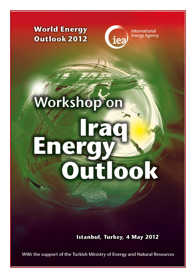## **World Energy** Outlook 2012



**International Energy Agency** 

# Workshop or Enero Outlook

**Istanbul, Turkey, 4 May 2012** 

With the support of the Turkish Ministry of Energy and Natural Resources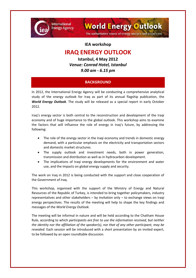

**IEA workshop**

**World Energy Outlook** 

The authoritative source of energy analysis and projections

### **IRAQ ENERGY OUTLOOK**

**Istanbul, 4 May 2012** *Venue: Conrad Hotel, Istanbul 9.00 am - 6.15 pm*

#### **BACKGROUND**

In 2012, the International Energy Agency will be conducting a comprehensive analytical study of the energy outlook for Iraq as part of its annual flagship publication, the *World Energy Outlook*. The study will be released as a special report in early October 2012.

Iraq's energy sector is both central to the reconstruction and development of the Iraqi economy and of huge importance to the global outlook. This workshop aims to examine the factors that will influence the role of energy in Iraq's future, by addressing the following:

- The role of the energy sector in the Iraqi economy and trends in domestic energy demand, with a particular emphasis on the electricity and transportation sectors and domestic market structures.
- The supply outlook and investment needs, both in power generation, transmission and distribution as well as in hydrocarbon development.
- The implications of Iraqi energy developments for the environment and water use, and the impacts on global energy supply and security.

The work on Iraq in 2012 is being conducted with the support and close cooperation of the Government of Iraq.

This workshop, organised with the support of the Ministry of Energy and Natural Resources of the Republic of Turkey, is intended to bring together policymakers, industry representatives and other stakeholders – by invitation only – to exchange views on Iraqi energy perspectives. The results of the meeting will help to shape the key findings and messages of the *World Energy Outlook*.

The meeting will be informal in nature and will be held according to the Chatham House Rule, according to which *participants are free to use the information received, but neither the identity nor the affiliation of the speaker(s), nor that of any other participant, may be revealed*. Each session will be introduced with a short presentation by an invited expert, to be followed by an open roundtable discussion.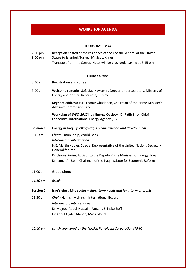#### **WORKSHOP AGENDA**

#### **THURSDAY 3 MAY**

| $7.00 \,\mathrm{pm}$ - | Reception hosted at the residence of the Consul General of the United |
|------------------------|-----------------------------------------------------------------------|
| $9.00 \,\mathrm{pm}$   | States to Istanbul, Turkey, Mr Scott Kilner                           |
|                        | Transport from the Conrad Hotel will be provided, leaving at 6.15 pm. |

#### **FRIDAY 4 MAY**

- 8.30 am Registration and coffee
- 9.00 am **Welcome remarks:** Sefa Sadık Aytekin, Deputy Undersecretary, Ministry of Energy and Natural Resources, Turkey

**Keynote address:** H.E. Thamir Ghadhban, Chairman of the Prime Minister's Advisory Commission, Iraq

**Workplan of** *WEO-2012* **Iraq Energy Outlook:** Dr Fatih Birol, Chief Economist, International Energy Agency (IEA)

#### **Session 1: Energy in Iraq –** *fuelling Iraq's reconstruction and development*

- 9.45 am *Chair:* Simon Stolp, World Bank *Introductory interventions:* H.E. Martin Kobler, Special Representative of the United Nations Secretary General for Iraq Dr Usama Karim, Advisor to the Deputy Prime Minister for Energy, Iraq Dr Kamal Al-Basri, Chairman of the Iraq Institute for Economic Reform
- 11.00 am Group photo
- *11.10 am Break*
- **Session 2: Iraq's electricity sector –** *short-term needs and long-term interests*
- 11.30 am *Chair:* Hamish McNinch, International Expert *Introductory interventions:* Dr Majeed Abdul-Hussain, Parsons Brinckerhoff Dr Abdul Qader Ahmed, Mass Global
- *12.40 pm Lunch sponsored by the Turkish Petroleum Corporation (TPAO)*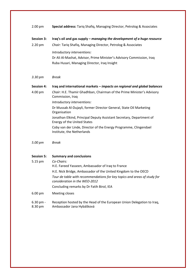| $2.00$ pm                    | Special address: Tariq Shafiq, Managing Director, Petrolog & Associates                                                                                                                                                                                                                          |
|------------------------------|--------------------------------------------------------------------------------------------------------------------------------------------------------------------------------------------------------------------------------------------------------------------------------------------------|
| <b>Session 3:</b><br>2.20 pm | Iraq's oil and gas supply – managing the development of a huge resource<br>Chair: Tariq Shafiq, Managing Director, Petrolog & Associates<br>Introductory interventions:<br>Dr Ali Al-Mashat, Advisor, Prime Minister's Advisory Commission, Iraq<br>Ruba Husari, Managing Director, Iraq Insight |
| 3.30 pm                      | <b>Break</b>                                                                                                                                                                                                                                                                                     |
| <b>Session 4:</b>            | Iraq and international markets - impacts on regional and global balances                                                                                                                                                                                                                         |
| 4.00 pm                      | Chair: H.E. Thamir Ghadhban, Chairman of the Prime Minister's Advisory<br>Commission, Iraq                                                                                                                                                                                                       |
|                              | Introductory interventions:                                                                                                                                                                                                                                                                      |
|                              | Dr Mussab Al-Dujayli, former Director General, State Oil Marketing<br>Organisation                                                                                                                                                                                                               |
|                              | Jonathan Elkind, Principal Deputy Assistant Secretary, Department of<br><b>Energy of the United States</b>                                                                                                                                                                                       |
|                              | Coby van der Linde, Director of the Energy Programme, Clingendael<br>Institute, the Netherlands                                                                                                                                                                                                  |
| 5.00 pm                      | <b>Break</b>                                                                                                                                                                                                                                                                                     |
| <b>Session 5:</b>            | <b>Summary and conclusions</b><br>Co-Chairs:                                                                                                                                                                                                                                                     |
| 5.15 pm                      | H.E. Fareed Yasseen, Ambassador of Iraq to France                                                                                                                                                                                                                                                |
|                              | H.E. Nick Bridge, Ambassador of the United Kingdom to the OECD                                                                                                                                                                                                                                   |
|                              | Tour de table with recommendations for key topics and areas of study for<br>consideration in the WEO-2012                                                                                                                                                                                        |
|                              | Concluding remarks by Dr Fatih Birol, IEA                                                                                                                                                                                                                                                        |
| 6.00 pm                      | Meeting closes                                                                                                                                                                                                                                                                                   |
| $6.30$ pm -<br>8.30 pm       | Reception hosted by the Head of the European Union Delegation to Iraq,<br>Ambassador Jana Hybášková                                                                                                                                                                                              |